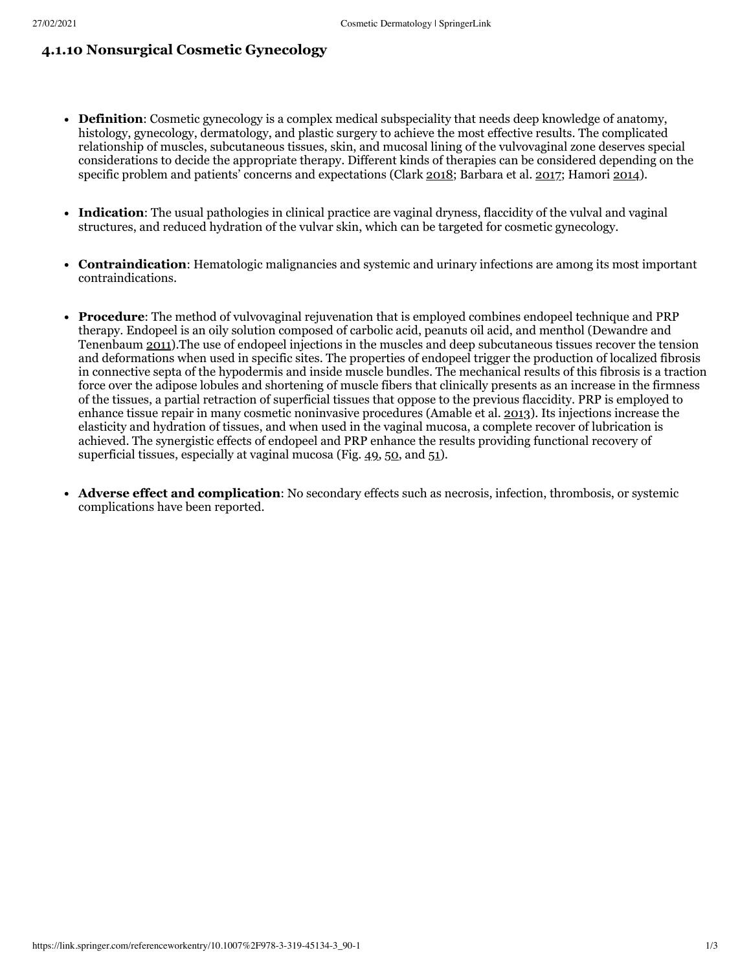## **4.1.10 Nonsurgical Cosmetic Gynecology**

- **Definition**: Cosmetic gynecology is a complex medical subspeciality that needs deep knowledge of anatomy, histology, gynecology, dermatology, and plastic surgery to achieve the most effective results. The complicated relationship of muscles, subcutaneous tissues, skin, and mucosal lining of the vulvovaginal zone deserves special considerations to decide the appropriate therapy. Different kinds of therapies can be considered depending on the specific problem and patients' concerns and expectations (Clark [2018](https://link.springer.com/referenceworkentry/10.1007%2F978-3-319-45134-3_90-1#CR34); Barbara et al. [2017;](https://link.springer.com/referenceworkentry/10.1007%2F978-3-319-45134-3_90-1#CR19) Hamori [2014\)](https://link.springer.com/referenceworkentry/10.1007%2F978-3-319-45134-3_90-1#CR60).
- **Indication**: The usual pathologies in clinical practice are vaginal dryness, flaccidity of the vulval and vaginal structures, and reduced hydration of the vulvar skin, which can be targeted for cosmetic gynecology.
- **Contraindication**: Hematologic malignancies and systemic and urinary infections are among its most important contraindications.
- **Procedure**: The method of vulvovaginal rejuvenation that is employed combines endopeel technique and PRP therapy. Endopeel is an oily solution composed of carbolic acid, peanuts oil acid, and menthol (Dewandre and Tenenbaum [2011\)](https://link.springer.com/referenceworkentry/10.1007%2F978-3-319-45134-3_90-1#CR40).The use of endopeel injections in the muscles and deep subcutaneous tissues recover the tension and deformations when used in specific sites. The properties of endopeel trigger the production of localized fibrosis in connective septa of the hypodermis and inside muscle bundles. The mechanical results of this fibrosis is a traction force over the adipose lobules and shortening of muscle fibers that clinically presents as an increase in the firmness of the tissues, a partial retraction of superficial tissues that oppose to the previous flaccidity. PRP is employed to enhance tissue repair in many cosmetic noninvasive procedures (Amable et al. [2013](https://link.springer.com/referenceworkentry/10.1007%2F978-3-319-45134-3_90-1#CR12)). Its injections increase the elasticity and hydration of tissues, and when used in the vaginal mucosa, a complete recover of lubrication is achieved. The synergistic effects of endopeel and PRP enhance the results providing functional recovery of superficial tissues, especially at vaginal mucosa (Fig.  $49, 50,$  $49, 50,$  $49, 50,$  $49, 50,$  and  $51$ ).
- **Adverse effect and complication**: No secondary effects such as necrosis, infection, thrombosis, or systemic complications have been reported.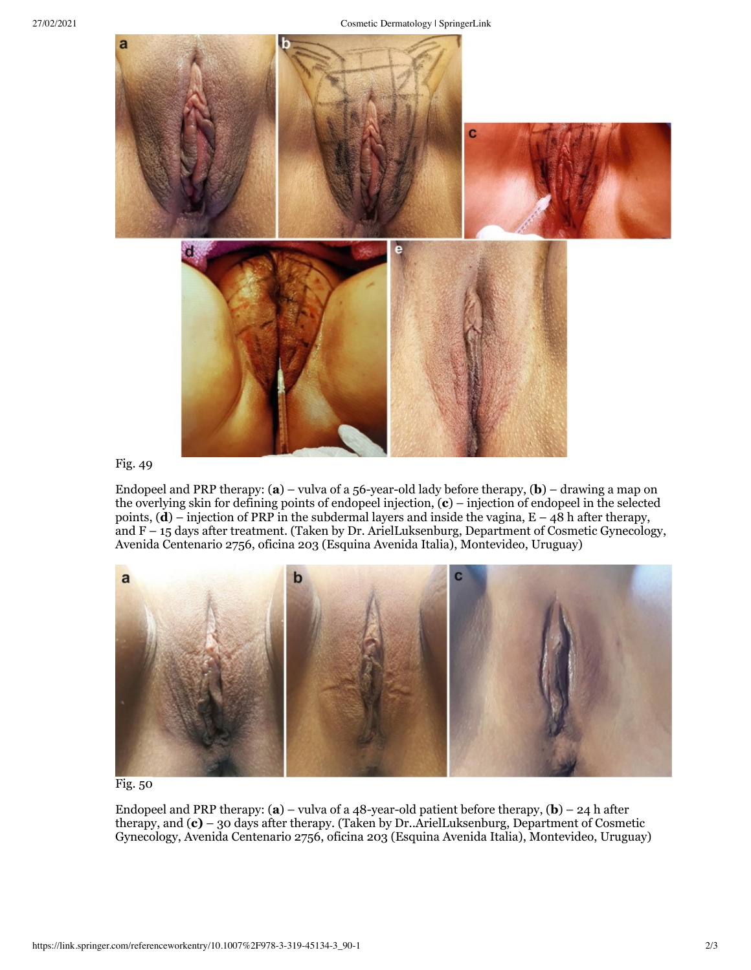

## [Fig.](https://media.springernature.com/original/springer-static/image/chp%3A10.1007%2F978-3-319-45134-3_90-1/MediaObjects/393492_0_En_90-1_Fig49_HTML.jpg) 49

Endopeel and PRP therapy: (**a**) – vulva of a 56-year-old lady before therapy, (**b**) – drawing a map on the overlying skin for defining points of endopeel injection, (**c**) – injection of endopeel in the selected points,  $(d)$  – injection of PRP in the subdermal layers and inside the vagina,  $E - 48$  h after therapy, and F – 15 days after treatment. (Taken by Dr. ArielLuksenburg, Department of Cosmetic Gynecology, Avenida Centenario 2756, oficina 203 (Esquina Avenida Italia), Montevideo, Uruguay)



[Fig.](https://media.springernature.com/original/springer-static/image/chp%3A10.1007%2F978-3-319-45134-3_90-1/MediaObjects/393492_0_En_90-1_Fig50_HTML.jpg) 50

Endopeel and PRP therapy: (**a**) – vulva of a 48-year-old patient before therapy, (**b**) – 24 h after therapy, and (**c)** – 30 days after therapy. (Taken by Dr..ArielLuksenburg, Department of Cosmetic Gynecology, Avenida Centenario 2756, oficina 203 (Esquina Avenida Italia), Montevideo, Uruguay)